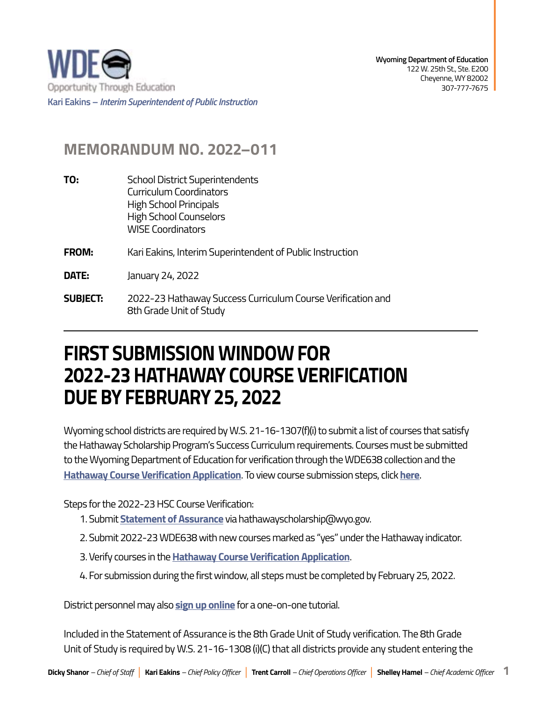

## **MEMORANDUM NO. 2022–011**

8th Grade Unit of Study

**SUBIECT: TO:** School District Superintendents Curriculum Coordinators High School Principals High School Counselors WISE Coordinators **FROM:** Kari Eakins, Interim Superintendent of Public Instruction **DATE:** January 24, 2022 **SUBJECT:** 2022-23 Hathaway Success Curriculum Course Verification and

## **DUE BY FEBRUARY 25, 2022 FIRST SUBMISSION WINDOW FOR 2022-23 HATHAWAY COURSE VERIFICATION**

Wyoming school districts are required by W.S. 21-16-1307(f)(i) to submit a list of courses that satisfy the Hathaway Scholarship Program's Success Curriculum requirements. Courses must be submitted to the Wyoming Department of Education for verification through the WDE638 collection and the **[Hathaway Course Verification Application](https://portals.edu.wyoming.gov/HSPDataStation/CourseApproval/Import)**. To view course submission steps, click **[here](https://edu.wyoming.gov/for-parents-students/hathaway-scholarship-information/add-courses/)**.

Steps for the 2022-23 HSC Course Verification:

- 1. Submit **[Statement of Assurance](https://edu.wyoming.gov/wp-content/uploads/2021/08/HathawaySussess-2022-23.pdf)** via [hathawayscholarship@wyo.gov.](mailto:hathawayscholarship@wyo.gov)
- 2. Submit 2022-23 WDE638 with new courses marked as "yes" under the Hathaway indicator.
- 3. Verify courses in the **[Hathaway Course Verification Application](https://portals.edu.wyoming.gov/HSPDataStation/CourseApproval/Import)**.
- 4. For submission during the first window, all steps must be completed by February 25, 2022.

District personnel may also **[sign up online](https://docs.google.com/forms/d/e/1FAIpQLScIBmGcKmGeak1I7oRbXmV8jfqJQ3Kt9usy-atH2BbFVrhlDg/viewform?usp=sf_link)** for a one-on-one tutorial.

Included in the Statement of Assurance is the 8th Grade Unit of Study verification. The 8th Grade Unit of Study is required by W.S. 21-16-1308 (i)(C) that all districts provide any student entering the